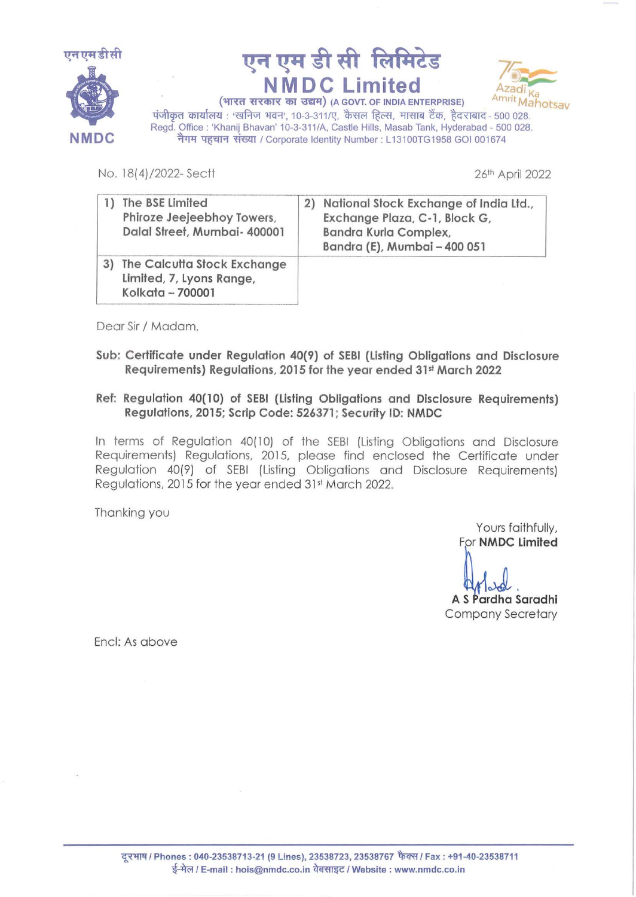





पंजीकृत कार्यालय : 'खनिज भवन', 10-3-311/ए, कैसल हिल्स, मासाब टैंक, हैदराबाद- 500 028. Regd. Office: 'Khanij Bhavan' 10-3-311/A, Castle Hills, Masab Tank, Hyderabad - 500 028. नैगम पहचान संख्या / Corporate Identity Number : L13100TG1958 GOI 001674

No. 18(4)/2022-Sectt 2022

| The BSE Limited<br>Phiroze Jeejeebhoy Towers,<br>Dalal Street, Mumbai- 400001 | 2) | National Stock Exchange of India Ltd.,<br>Exchange Plaza, C-1, Block G,<br>Bandra Kurla Complex,<br>Bandra (E), Mumbai - 400 051 |
|-------------------------------------------------------------------------------|----|----------------------------------------------------------------------------------------------------------------------------------|
| The Calcutta Stock Exchange<br>Limited, 7, Lyons Range,<br>Kolkata - 700001   |    |                                                                                                                                  |

Dear Sir / Madam,

Sub: Certificate under Regulation 40(9} of SEBI (Listing Obligations and Disclosure Requirements) Regulations, 2015 for the year ended 31st March 2022

## Ref: Regulation 40(10) of SEBI (Listing Obligations and Disclosure Requirements) Regulations, 2015; Scrip Code: 526371; Security ID: NMDC

In terms of Regulation 40(10) of the SEBI (Listing Obligations and Disclosure Requirements) Regulations, 2015, please find enclosed the Certificate under Regulation 40(9) of SEBI (Listing Obligations and Disclosure Requirements) Regulations, 2015 for the year ended 31<sup>st</sup> March 2022.

Thanking you

Yours faithfully, For **NMDC** Limited

Arland<br>A S Pardha Saradhi Company Secretary

Encl: As above